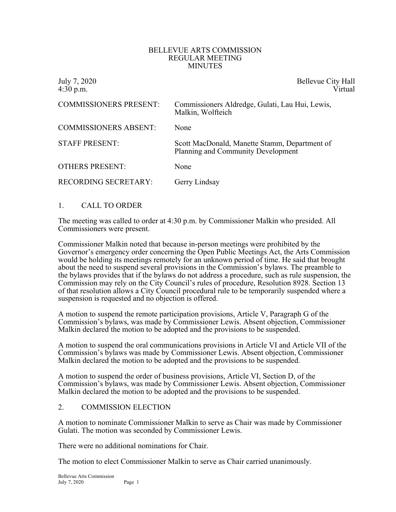#### BELLEVUE ARTS COMMISSION REGULAR MEETING MINUTES

| July 7, 2020<br>$4:30$ p.m.   | Bellevue City Hall<br>Virtual                                                       |
|-------------------------------|-------------------------------------------------------------------------------------|
| <b>COMMISSIONERS PRESENT:</b> | Commissioners Aldredge, Gulati, Lau Hui, Lewis,<br>Malkin, Wolfteich                |
| <b>COMMISSIONERS ABSENT:</b>  | None                                                                                |
| <b>STAFF PRESENT:</b>         | Scott MacDonald, Manette Stamm, Department of<br>Planning and Community Development |
| <b>OTHERS PRESENT:</b>        | None                                                                                |
| <b>RECORDING SECRETARY:</b>   | Gerry Lindsay                                                                       |

# 1. CALL TO ORDER

The meeting was called to order at 4:30 p.m. by Commissioner Malkin who presided. All Commissioners were present.

Commissioner Malkin noted that because in-person meetings were prohibited by the Governor's emergency order concerning the Open Public Meetings Act, the Arts Commission would be holding its meetings remotely for an unknown period of time. He said that brought about the need to suspend several provisions in the Commission's bylaws. The preamble to the bylaws provides that if the bylaws do not address a procedure, such as rule suspension, the Commission may rely on the City Council's rules of procedure, Resolution 8928. Section 13 of that resolution allows a City Council procedural rule to be temporarily suspended where a suspension is requested and no objection is offered.

A motion to suspend the remote participation provisions, Article V, Paragraph G of the Commission's bylaws, was made by Commissioner Lewis. Absent objection, Commissioner Malkin declared the motion to be adopted and the provisions to be suspended.

A motion to suspend the oral communications provisions in Article VI and Article VII of the Commission's bylaws was made by Commissioner Lewis. Absent objection, Commissioner Malkin declared the motion to be adopted and the provisions to be suspended.

A motion to suspend the order of business provisions, Article VI, Section D, of the Commission's bylaws, was made by Commissioner Lewis. Absent objection, Commissioner Malkin declared the motion to be adopted and the provisions to be suspended.

# 2. COMMISSION ELECTION

A motion to nominate Commissioner Malkin to serve as Chair was made by Commissioner Gulati. The motion was seconded by Commissioner Lewis.

There were no additional nominations for Chair.

The motion to elect Commissioner Malkin to serve as Chair carried unanimously.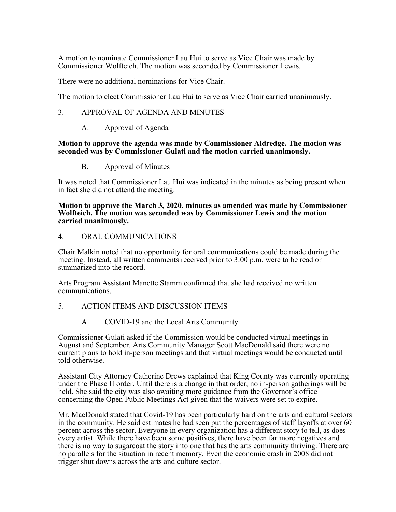A motion to nominate Commissioner Lau Hui to serve as Vice Chair was made by Commissioner Wolfteich. The motion was seconded by Commissioner Lewis.

There were no additional nominations for Vice Chair.

The motion to elect Commissioner Lau Hui to serve as Vice Chair carried unanimously.

### 3. APPROVAL OF AGENDA AND MINUTES

A. Approval of Agenda

### **Motion to approve the agenda was made by Commissioner Aldredge. The motion was seconded was by Commissioner Gulati and the motion carried unanimously.**

B. Approval of Minutes

It was noted that Commissioner Lau Hui was indicated in the minutes as being present when in fact she did not attend the meeting.

#### **Motion to approve the March 3, 2020, minutes as amended was made by Commissioner Wolfteich. The motion was seconded was by Commissioner Lewis and the motion carried unanimously.**

### 4. ORAL COMMUNICATIONS

Chair Malkin noted that no opportunity for oral communications could be made during the meeting. Instead, all written comments received prior to 3:00 p.m. were to be read or summarized into the record.

Arts Program Assistant Manette Stamm confirmed that she had received no written communications.

# 5. ACTION ITEMS AND DISCUSSION ITEMS

A. COVID-19 and the Local Arts Community

Commissioner Gulati asked if the Commission would be conducted virtual meetings in August and September. Arts Community Manager Scott MacDonald said there were no current plans to hold in-person meetings and that virtual meetings would be conducted until told otherwise.

Assistant City Attorney Catherine Drews explained that King County was currently operating under the Phase II order. Until there is a change in that order, no in-person gatherings will be held. She said the city was also awaiting more guidance from the Governor's office concerning the Open Public Meetings Act given that the waivers were set to expire.

Mr. MacDonald stated that Covid-19 has been particularly hard on the arts and cultural sectors in the community. He said estimates he had seen put the percentages of staff layoffs at over 60 percent across the sector. Everyone in every organization has a different story to tell, as does every artist. While there have been some positives, there have been far more negatives and there is no way to sugarcoat the story into one that has the arts community thriving. There are no parallels for the situation in recent memory. Even the economic crash in 2008 did not trigger shut downs across the arts and culture sector.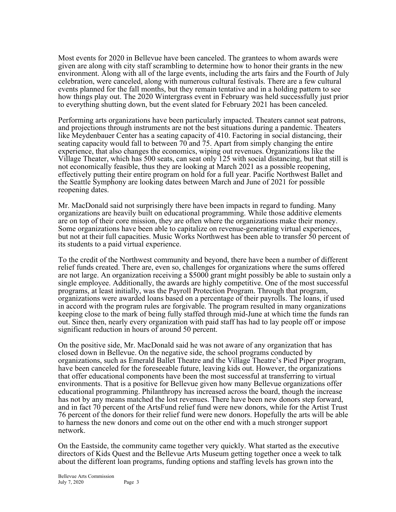Most events for 2020 in Bellevue have been canceled. The grantees to whom awards were given are along with city staff scrambling to determine how to honor their grants in the new environment. Along with all of the large events, including the arts fairs and the Fourth of July celebration, were canceled, along with numerous cultural festivals. There are a few cultural events planned for the fall months, but they remain tentative and in a holding pattern to see how things play out. The 2020 Wintergrass event in February was held successfully just prior to everything shutting down, but the event slated for February 2021 has been canceled.

Performing arts organizations have been particularly impacted. Theaters cannot seat patrons, and projections through instruments are not the best situations during a pandemic. Theaters like Meydenbauer Center has a seating capacity of 410. Factoring in social distancing, their seating capacity would fall to between 70 and 75. Apart from simply changing the entire experience, that also changes the economics, wiping out revenues. Organizations like the Village Theater, which has 500 seats, can seat only 125 with social distancing, but that still is not economically feasible, thus they are looking at March 2021 as a possible reopening, effectively putting their entire program on hold for a full year. Pacific Northwest Ballet and the Seattle Symphony are looking dates between March and June of 2021 for possible reopening dates.

Mr. MacDonald said not surprisingly there have been impacts in regard to funding. Many organizations are heavily built on educational programming. While those additive elements are on top of their core mission, they are often where the organizations make their money. Some organizations have been able to capitalize on revenue-generating virtual experiences, but not at their full capacities. Music Works Northwest has been able to transfer 50 percent of its students to a paid virtual experience.

To the credit of the Northwest community and beyond, there have been a number of different relief funds created. There are, even so, challenges for organizations where the sums offered are not large. An organization receiving a \$5000 grant might possibly be able to sustain only a single employee. Additionally, the awards are highly competitive. One of the most successful programs, at least initially, was the Payroll Protection Program. Through that program, organizations were awarded loans based on a percentage of their payrolls. The loans, if used in accord with the program rules are forgivable. The program resulted in many organizations keeping close to the mark of being fully staffed through mid-June at which time the funds ran out. Since then, nearly every organization with paid staff has had to lay people off or impose significant reduction in hours of around 50 percent.

On the positive side, Mr. MacDonald said he was not aware of any organization that has closed down in Bellevue. On the negative side, the school programs conducted by organizations, such as Emerald Ballet Theatre and the Village Theatre's Pied Piper program, have been canceled for the foreseeable future, leaving kids out. However, the organizations that offer educational components have been the most successful at transferring to virtual environments. That is a positive for Bellevue given how many Bellevue organizations offer educational programming. Philanthropy has increased across the board, though the increase has not by any means matched the lost revenues. There have been new donors step forward, and in fact 70 percent of the ArtsFund relief fund were new donors, while for the Artist Trust 76 percent of the donors for their relief fund were new donors. Hopefully the arts will be able to harness the new donors and come out on the other end with a much stronger support network.

On the Eastside, the community came together very quickly. What started as the executive directors of Kids Quest and the Bellevue Arts Museum getting together once a week to talk about the different loan programs, funding options and staffing levels has grown into the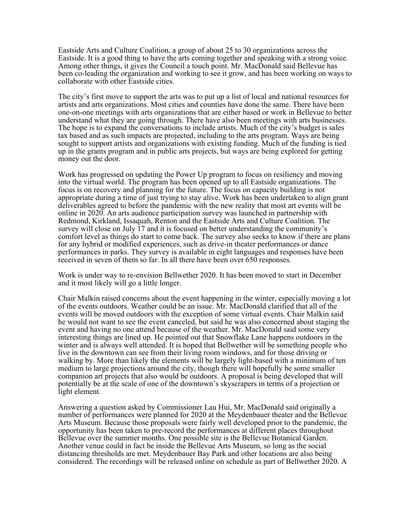Eastside Arts and Culture Coalition, a group of about 25 to 30 organizations across the Eastside. It is a good thing to have the arts coming together and speaking with a strong voice. Among other things, it gives the Council a touch point. Mr. MacDonald said Bellevue has been co-leading the organization and working to see it grow, and has been working on ways to collaborate with other Eastside cities.

The city's first move to support the arts was to put up a list of local and national resources for artists and arts organizations. Most cities and counties have done the same. There have been one-on-one meetings with arts organizations that are either based or work in Bellevue to better understand what they are going through. There have also been meetings with arts businesses. The hope is to expand the conversations to include artists. Much of the city's budget is sales tax based and as such impacts are projected, including to the arts program. Ways are being sought to support artists and organizations with existing funding. Much of the funding is tied up in the grants program and in public arts projects, but ways are being explored for getting money out the door.

Work has progressed on updating the Power Up program to focus on resiliency and moving into the virtual world. The program has been opened up to all Eastside organizations. The focus is on recovery and planning for the future. The focus on capacity building is not appropriate during a time of just trying to stay alive. Work has been undertaken to align grant deliverables agreed to before the pandemic with the new reality that most art events will be online in 2020. An arts audience participation survey was launched in partnership with Redmond, Kirkland, Issaquah, Renton and the Eastside Arts and Culture Coalition. The survey will close on July 17 and it is focused on better understanding the community's comfort level as things do start to come back. The survey also seeks to know if there are plans for any hybrid or modified experiences, such as drive-in theater performances or dance performances in parks. They survey is available in eight languages and responses have been received in seven of them so far. In all there have been over 650 responses.

Work is under way to re-envision Bellwether 2020. It has been moved to start in December and it most likely will go a little longer.

Chair Malkin raised concerns about the event happening in the winter, especially moving a lot of the events outdoors. Weather could be an issue. Mr. MacDonald clarified that all of the events will be moved outdoors with the exception of some virtual events. Chair Malkin said he would not want to see the event canceled, but said he was also concerned about staging the event and having no one attend because of the weather. Mr. MacDonald said some very interesting things are lined up. He pointed out that Snowflake Lane happens outdoors in the winter and is always well attended. It is hoped that Bellwether will be something people who live in the downtown can see from their living room windows, and for those driving or walking by. More than likely the elements will be largely light-based with a minimum of ten medium to large projections around the city, though there will hopefully be some smaller companion art projects that also would be outdoors. A proposal is being developed that will potentially be at the scale of one of the downtown's skyscrapers in terms of a projection or light element.

Answering a question asked by Commissioner Lau Hui, Mr. MacDonald said originally a number of performances were planned for 2020 at the Meydenbauer theater and the Bellevue Arts Museum. Because those proposals were fairly well developed prior to the pandemic, the opportunity has been taken to pre-record the performances at different places throughout Bellevue over the summer months. One possible site is the Bellevue Botanical Garden. Another venue could in fact be inside the Bellevue Arts Museum, so long as the social distancing thresholds are met. Meydenbauer Bay Park and other locations are also being considered. The recordings will be released online on schedule as part of Bellwether 2020. A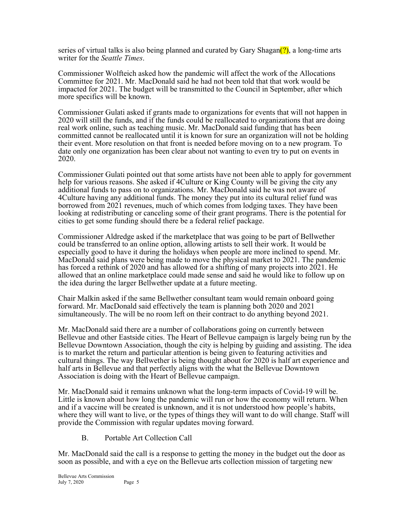series of virtual talks is also being planned and curated by Gary Shagan $(?)$ , a long-time arts writer for the *Seattle Times*.

Commissioner Wolfteich asked how the pandemic will affect the work of the Allocations Committee for 2021. Mr. MacDonald said he had not been told that that work would be impacted for 2021. The budget will be transmitted to the Council in September, after which more specifics will be known.

Commissioner Gulati asked if grants made to organizations for events that will not happen in 2020 will still the funds, and if the funds could be reallocated to organizations that are doing real work online, such as teaching music. Mr. MacDonald said funding that has been committed cannot be reallocated until it is known for sure an organization will not be holding their event. More resolution on that front is needed before moving on to a new program. To date only one organization has been clear about not wanting to even try to put on events in 2020.

Commissioner Gulati pointed out that some artists have not been able to apply for government help for various reasons. She asked if 4Culture or King County will be giving the city any additional funds to pass on to organizations. Mr. MacDonald said he was not aware of 4Culture having any additional funds. The money they put into its cultural relief fund was borrowed from 2021 revenues, much of which comes from lodging taxes. They have been looking at redistributing or canceling some of their grant programs. There is the potential for cities to get some funding should there be a federal relief package.

Commissioner Aldredge asked if the marketplace that was going to be part of Bellwether could be transferred to an online option, allowing artists to sell their work. It would be especially good to have it during the holidays when people are more inclined to spend. Mr. MacDonald said plans were being made to move the physical market to 2021. The pandemic has forced a rethink of 2020 and has allowed for a shifting of many projects into 2021. He allowed that an online marketplace could made sense and said he would like to follow up on the idea during the larger Bellwether update at a future meeting.

Chair Malkin asked if the same Bellwether consultant team would remain onboard going forward. Mr. MacDonald said effectively the team is planning both 2020 and 2021 simultaneously. The will be no room left on their contract to do anything beyond 2021.

Mr. MacDonald said there are a number of collaborations going on currently between Bellevue and other Eastside cities. The Heart of Bellevue campaign is largely being run by the Bellevue Downtown Association, though the city is helping by guiding and assisting. The idea is to market the return and particular attention is being given to featuring activities and cultural things. The way Bellwether is being thought about for 2020 is half art experience and half arts in Bellevue and that perfectly aligns with the what the Bellevue Downtown Association is doing with the Heart of Bellevue campaign.

Mr. MacDonald said it remains unknown what the long-term impacts of Covid-19 will be. Little is known about how long the pandemic will run or how the economy will return. When and if a vaccine will be created is unknown, and it is not understood how people's habits, where they will want to live, or the types of things they will want to do will change. Staff will provide the Commission with regular updates moving forward.

B. Portable Art Collection Call

Mr. MacDonald said the call is a response to getting the money in the budget out the door as soon as possible, and with a eye on the Bellevue arts collection mission of targeting new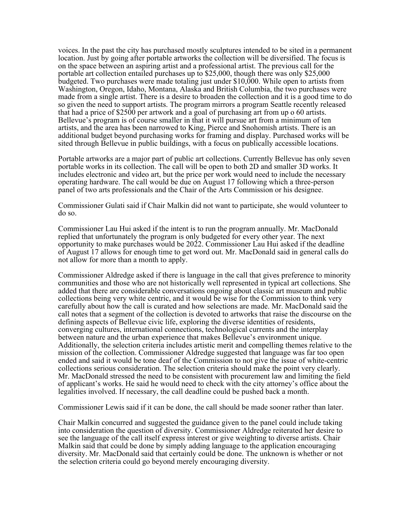voices. In the past the city has purchased mostly sculptures intended to be sited in a permanent location. Just by going after portable artworks the collection will be diversified. The focus is on the space between an aspiring artist and a professional artist. The previous call for the portable art collection entailed purchases up to \$25,000, though there was only \$25,000 budgeted. Two purchases were made totaling just under \$10,000. While open to artists from Washington, Oregon, Idaho, Montana, Alaska and British Columbia, the two purchases were made from a single artist. There is a desire to broaden the collection and it is a good time to do so given the need to support artists. The program mirrors a program Seattle recently released that had a price of \$2500 per artwork and a goal of purchasing art from up o 60 artists. Bellevue's program is of course smaller in that it will pursue art from a minimum of ten artists, and the area has been narrowed to King, Pierce and Snohomish artists. There is an additional budget beyond purchasing works for framing and display. Purchased works will be sited through Bellevue in public buildings, with a focus on publically accessible locations.

Portable artworks are a major part of public art collections. Currently Bellevue has only seven portable works in its collection. The call will be open to both 2D and smaller 3D works. It includes electronic and video art, but the price per work would need to include the necessary operating hardware. The call would be due on August 17 following which a three-person panel of two arts professionals and the Chair of the Arts Commission or his designee.

Commissioner Gulati said if Chair Malkin did not want to participate, she would volunteer to do so.

Commissioner Lau Hui asked if the intent is to run the program annually. Mr. MacDonald replied that unfortunately the program is only budgeted for every other year. The next opportunity to make purchases would be 2022. Commissioner Lau Hui asked if the deadline of August 17 allows for enough time to get word out. Mr. MacDonald said in general calls do not allow for more than a month to apply.

Commissioner Aldredge asked if there is language in the call that gives preference to minority communities and those who are not historically well represented in typical art collections. She added that there are considerable conversations ongoing about classic art museum and public collections being very white centric, and it would be wise for the Commission to think very carefully about how the call is curated and how selections are made. Mr. MacDonald said the call notes that a segment of the collection is devoted to artworks that raise the discourse on the defining aspects of Bellevue civic life, exploring the diverse identities of residents, converging cultures, international connections, technological currents and the interplay between nature and the urban experience that makes Bellevue's environment unique. Additionally, the selection criteria includes artistic merit and compelling themes relative to the mission of the collection. Commissioner Aldredge suggested that language was far too open ended and said it would be tone deaf of the Commission to not give the issue of white-centric collections serious consideration. The selection criteria should make the point very clearly. Mr. MacDonald stressed the need to be consistent with procurement law and limiting the field of applicant's works. He said he would need to check with the city attorney's office about the legalities involved. If necessary, the call deadline could be pushed back a month.

Commissioner Lewis said if it can be done, the call should be made sooner rather than later.

Chair Malkin concurred and suggested the guidance given to the panel could include taking into consideration the question of diversity. Commissioner Aldredge reiterated her desire to see the language of the call itself express interest or give weighting to diverse artists. Chair Malkin said that could be done by simply adding language to the application encouraging diversity. Mr. MacDonald said that certainly could be done. The unknown is whether or not the selection criteria could go beyond merely encouraging diversity.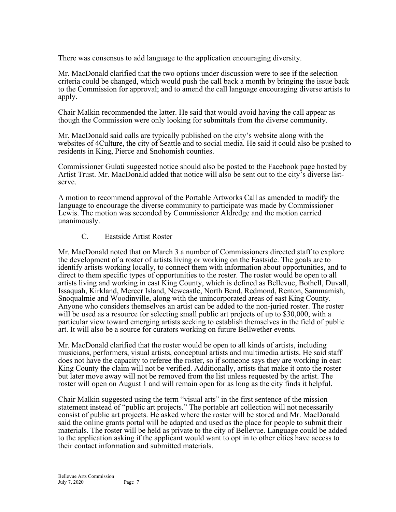There was consensus to add language to the application encouraging diversity.

Mr. MacDonald clarified that the two options under discussion were to see if the selection criteria could be changed, which would push the call back a month by bringing the issue back to the Commission for approval; and to amend the call language encouraging diverse artists to apply.

Chair Malkin recommended the latter. He said that would avoid having the call appear as though the Commission were only looking for submittals from the diverse community.

Mr. MacDonald said calls are typically published on the city's website along with the websites of 4Culture, the city of Seattle and to social media. He said it could also be pushed to residents in King, Pierce and Snohomish counties.

Commissioner Gulati suggested notice should also be posted to the Facebook page hosted by Artist Trust. Mr. MacDonald added that notice will also be sent out to the city's diverse listserve.

A motion to recommend approval of the Portable Artworks Call as amended to modify the language to encourage the diverse community to participate was made by Commissioner Lewis. The motion was seconded by Commissioner Aldredge and the motion carried unanimously.

# C. Eastside Artist Roster

Mr. MacDonald noted that on March 3 a number of Commissioners directed staff to explore the development of a roster of artists living or working on the Eastside. The goals are to identify artists working locally, to connect them with information about opportunities, and to direct to them specific types of opportunities to the roster. The roster would be open to all artists living and working in east King County, which is defined as Bellevue, Bothell, Duvall, Issaquah, Kirkland, Mercer Island, Newcastle, North Bend, Redmond, Renton, Sammamish, Snoqualmie and Woodinville, along with the unincorporated areas of east King County. Anyone who considers themselves an artist can be added to the non-juried roster. The roster will be used as a resource for selecting small public art projects of up to \$30,000, with a particular view toward emerging artists seeking to establish themselves in the field of public art. It will also be a source for curators working on future Bellwether events.

Mr. MacDonald clarified that the roster would be open to all kinds of artists, including musicians, performers, visual artists, conceptual artists and multimedia artists. He said staff does not have the capacity to referee the roster, so if someone says they are working in east King County the claim will not be verified. Additionally, artists that make it onto the roster but later move away will not be removed from the list unless requested by the artist. The roster will open on August 1 and will remain open for as long as the city finds it helpful.

Chair Malkin suggested using the term "visual arts" in the first sentence of the mission statement instead of "public art projects." The portable art collection will not necessarily consist of public art projects. He asked where the roster will be stored and Mr. MacDonald said the online grants portal will be adapted and used as the place for people to submit their materials. The roster will be held as private to the city of Bellevue. Language could be added to the application asking if the applicant would want to opt in to other cities have access to their contact information and submitted materials.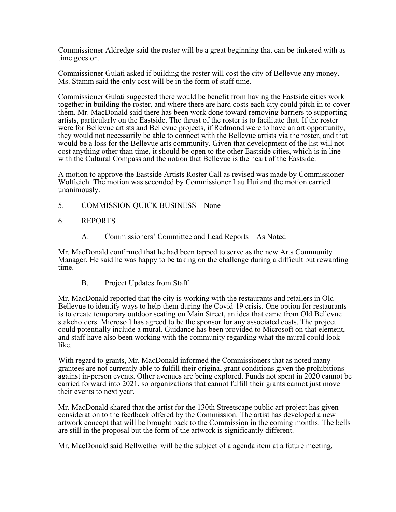Commissioner Aldredge said the roster will be a great beginning that can be tinkered with as time goes on.

Commissioner Gulati asked if building the roster will cost the city of Bellevue any money. Ms. Stamm said the only cost will be in the form of staff time.

Commissioner Gulati suggested there would be benefit from having the Eastside cities work together in building the roster, and where there are hard costs each city could pitch in to cover them. Mr. MacDonald said there has been work done toward removing barriers to supporting artists, particularly on the Eastside. The thrust of the roster is to facilitate that. If the roster were for Bellevue artists and Bellevue projects, if Redmond were to have an art opportunity, they would not necessarily be able to connect with the Bellevue artists via the roster, and that would be a loss for the Bellevue arts community. Given that development of the list will not cost anything other than time, it should be open to the other Eastside cities, which is in line with the Cultural Compass and the notion that Bellevue is the heart of the Eastside.

A motion to approve the Eastside Artists Roster Call as revised was made by Commissioner Wolfteich. The motion was seconded by Commissioner Lau Hui and the motion carried unanimously.

- 5. COMMISSION QUICK BUSINESS None
- 6. REPORTS
	- A. Commissioners' Committee and Lead Reports As Noted

Mr. MacDonald confirmed that he had been tapped to serve as the new Arts Community Manager. He said he was happy to be taking on the challenge during a difficult but rewarding time.

B. Project Updates from Staff

Mr. MacDonald reported that the city is working with the restaurants and retailers in Old Bellevue to identify ways to help them during the Covid-19 crisis. One option for restaurants is to create temporary outdoor seating on Main Street, an idea that came from Old Bellevue stakeholders. Microsoft has agreed to be the sponsor for any associated costs. The project could potentially include a mural. Guidance has been provided to Microsoft on that element, and staff have also been working with the community regarding what the mural could look like.

With regard to grants, Mr. MacDonald informed the Commissioners that as noted many grantees are not currently able to fulfill their original grant conditions given the prohibitions against in-person events. Other avenues are being explored. Funds not spent in 2020 cannot be carried forward into 2021, so organizations that cannot fulfill their grants cannot just move their events to next year.

Mr. MacDonald shared that the artist for the 130th Streetscape public art project has given consideration to the feedback offered by the Commission. The artist has developed a new artwork concept that will be brought back to the Commission in the coming months. The bells are still in the proposal but the form of the artwork is significantly different.

Mr. MacDonald said Bellwether will be the subject of a agenda item at a future meeting.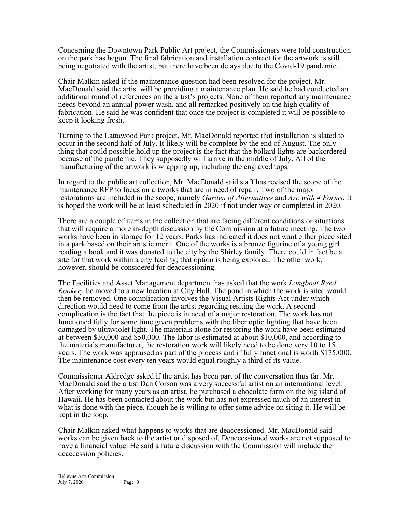Concerning the Downtown Park Public Art project, the Commissioners were told construction on the park has begun. The final fabrication and installation contract for the artwork is still being negotiated with the artist, but there have been delays due to the Covid-19 pandemic.

Chair Malkin asked if the maintenance question had been resolved for the project. Mr. MacDonald said the artist will be providing a maintenance plan. He said he had conducted an additional round of references on the artist's projects. None of them reported any maintenance needs beyond an annual power wash, and all remarked positively on the high quality of fabrication. He said he was confident that once the project is completed it will be possible to keep it looking fresh.

Turning to the Lattawood Park project, Mr. MacDonald reported that installation is slated to occur in the second half of July. It likely will be complete by the end of August. The only thing that could possible hold up the project is the fact that the bollard lights are backordered because of the pandemic. They supposedly will arrive in the middle of July. All of the manufacturing of the artwork is wrapping up, including the engraved tops.

In regard to the public art collection, Mr. MacDonald said staff has revised the scope of the maintenance RFP to focus on artworks that are in need of repair. Two of the major restorations are included in the scope, namely *Garden of Alternatives* and *Arc with 4 Forms*. It is hoped the work will be at least scheduled in 2020 if not under way or completed in 2020.

There are a couple of items in the collection that are facing different conditions or situations that will require a more in-depth discussion by the Commission at a future meeting. The two works have been in storage for 12 years. Parks has indicated it does not want either piece sited in a park based on their artistic merit. One of the works is a bronze figurine of a young girl reading a book and it was donated to the city by the Shirley family. There could in fact be a site for that work within a city facility; that option is being explored. The other work, however, should be considered for deaccessioning.

The Facilities and Asset Management department has asked that the work *Longboat Reed Rookery* be moved to a new location at City Hall. The pond in which the work is sited would then be removed. One complication involves the Visual Artists Rights Act under which direction would need to come from the artist regarding resiting the work. A second complication is the fact that the piece is in need of a major restoration. The work has not functioned fully for some time given problems with the fiber optic lighting that have been damaged by ultraviolet light. The materials alone for restoring the work have been estimated at between \$30,000 and \$50,000. The labor is estimated at about \$10,000, and according to the materials manufacturer, the restoration work will likely need to be done very 10 to 15 years. The work was appraised as part of the process and if fully functional is worth \$175,000. The maintenance cost every ten years would equal roughly a third of its value.

Commissioner Aldredge asked if the artist has been part of the conversation thus far. Mr. MacDonald said the artist Dan Corson was a very successful artist on an international level. After working for many years as an artist, he purchased a chocolate farm on the big island of Hawaii. He has been contacted about the work but has not expressed much of an interest in what is done with the piece, though he is willing to offer some advice on siting it. He will be kept in the loop.

Chair Malkin asked what happens to works that are deaccessioned. Mr. MacDonald said works can be given back to the artist or disposed of. Deaccessioned works are not supposed to have a financial value. He said a future discussion with the Commission will include the deaccession policies.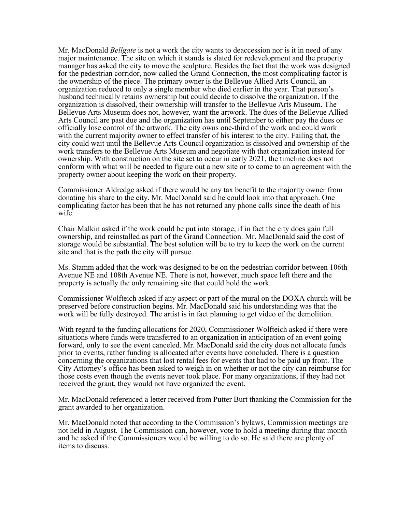Mr. MacDonald *Bellgate* is not a work the city wants to deaccession nor is it in need of any major maintenance. The site on which it stands is slated for redevelopment and the property manager has asked the city to move the sculpture. Besides the fact that the work was designed for the pedestrian corridor, now called the Grand Connection, the most complicating factor is the ownership of the piece. The primary owner is the Bellevue Allied Arts Council, an organization reduced to only a single member who died earlier in the year. That person's husband technically retains ownership but could decide to dissolve the organization. If the organization is dissolved, their ownership will transfer to the Bellevue Arts Museum. The Bellevue Arts Museum does not, however, want the artwork. The dues of the Bellevue Allied Arts Council are past due and the organization has until September to either pay the dues or officially lose control of the artwork. The city owns one-third of the work and could work with the current majority owner to effect transfer of his interest to the city. Failing that, the city could wait until the Bellevue Arts Council organization is dissolved and ownership of the work transfers to the Bellevue Arts Museum and negotiate with that organization instead for ownership. With construction on the site set to occur in early 2021, the timeline does not conform with what will be needed to figure out a new site or to come to an agreement with the property owner about keeping the work on their property.

Commissioner Aldredge asked if there would be any tax benefit to the majority owner from donating his share to the city. Mr. MacDonald said he could look into that approach. One complicating factor has been that he has not returned any phone calls since the death of his wife.

Chair Malkin asked if the work could be put into storage, if in fact the city does gain full ownership, and reinstalled as part of the Grand Connection. Mr. MacDonald said the cost of storage would be substantial. The best solution will be to try to keep the work on the current site and that is the path the city will pursue.

Ms. Stamm added that the work was designed to be on the pedestrian corridor between 106th Avenue NE and 108th Avenue NE. There is not, however, much space left there and the property is actually the only remaining site that could hold the work.

Commissioner Wolfteich asked if any aspect or part of the mural on the DOXA church will be preserved before construction begins. Mr. MacDonald said his understanding was that the work will be fully destroyed. The artist is in fact planning to get video of the demolition.

With regard to the funding allocations for 2020, Commissioner Wolfteich asked if there were situations where funds were transferred to an organization in anticipation of an event going forward, only to see the event canceled. Mr. MacDonald said the city does not allocate funds prior to events, rather funding is allocated after events have concluded. There is a question concerning the organizations that lost rental fees for events that had to be paid up front. The City Attorney's office has been asked to weigh in on whether or not the city can reimburse for those costs even though the events never took place. For many organizations, if they had not received the grant, they would not have organized the event.

Mr. MacDonald referenced a letter received from Putter Burt thanking the Commission for the grant awarded to her organization.

Mr. MacDonald noted that according to the Commission's bylaws, Commission meetings are not held in August. The Commission can, however, vote to hold a meeting during that month and he asked if the Commissioners would be willing to do so. He said there are plenty of items to discuss.